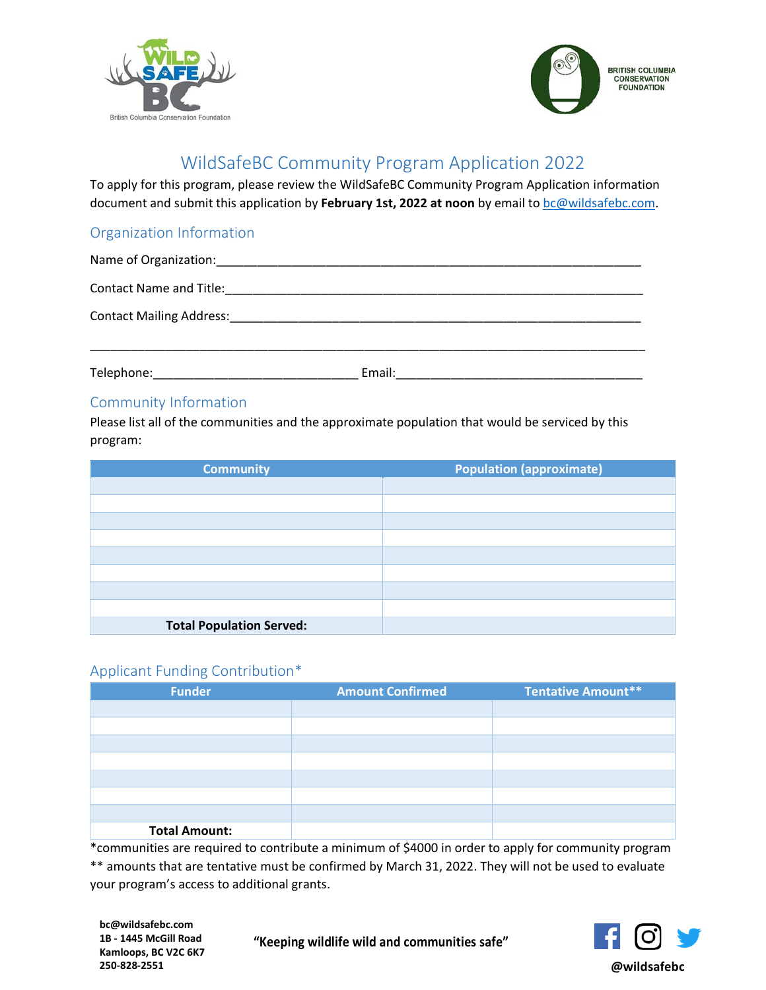



# WildSafeBC Community Program Application 2022

To apply for this program, please review the WildSafeBC Community Program Application information document and submit this application by **February 1st, 2022 at noon** by email to [bc@wildsafebc.com.](mailto:bc@wildsafebc.com)

## Organization Information

| Telephone: | Email: |
|------------|--------|

## Community Information

Please list all of the communities and the approximate population that would be serviced by this program:

| <b>Community</b>                | <b>Population (approximate)</b> |
|---------------------------------|---------------------------------|
|                                 |                                 |
|                                 |                                 |
|                                 |                                 |
|                                 |                                 |
|                                 |                                 |
|                                 |                                 |
|                                 |                                 |
|                                 |                                 |
| <b>Total Population Served:</b> |                                 |

## Applicant Funding Contribution\*

| <b>Funder</b>        | <b>Amount Confirmed</b> | <b>Tentative Amount**</b> |
|----------------------|-------------------------|---------------------------|
|                      |                         |                           |
|                      |                         |                           |
|                      |                         |                           |
|                      |                         |                           |
|                      |                         |                           |
|                      |                         |                           |
|                      |                         |                           |
| <b>Total Amount:</b> |                         |                           |

\*communities are required to contribute a minimum of \$4000 in order to apply for community program \*\* amounts that are tentative must be confirmed by March 31, 2022. They will not be used to evaluate your program's access to additional grants.

**bc@wildsafebc.com 1B - 1445 McGill Road Kamloops, BC V2C 6K7**

**"Keeping wildlife wild and communities safe"**

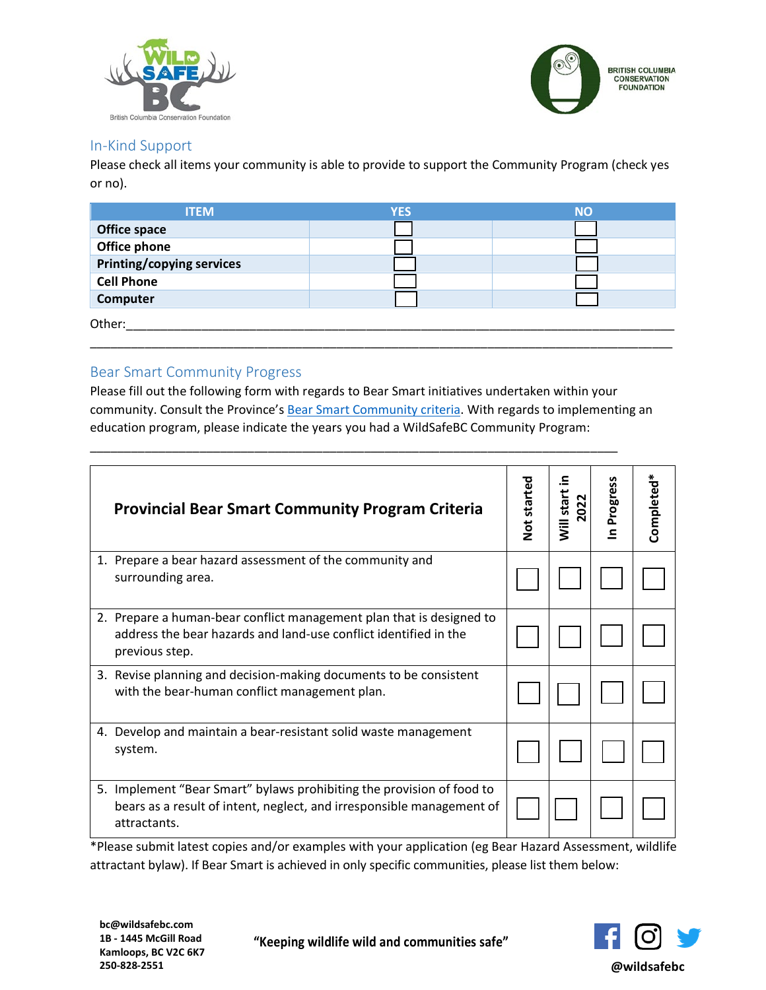



#### In-Kind Support

Please check all items your community is able to provide to support the Community Program (check yes or no).

| <b>ITEM</b>                      | <b>YES</b> | <b>NO</b> |  |  |  |
|----------------------------------|------------|-----------|--|--|--|
| Office space                     |            |           |  |  |  |
| Office phone                     |            |           |  |  |  |
| <b>Printing/copying services</b> |            |           |  |  |  |
| <b>Cell Phone</b>                |            |           |  |  |  |
| Computer                         |            |           |  |  |  |
| Other:                           |            |           |  |  |  |

\_\_\_\_\_\_\_\_\_\_\_\_\_\_\_\_\_\_\_\_\_\_\_\_\_\_\_\_\_\_\_\_\_\_\_\_\_\_\_\_\_\_\_\_\_\_\_\_\_\_\_\_\_\_\_\_\_\_\_\_\_\_\_\_\_\_\_\_\_\_\_\_\_\_\_\_\_\_\_\_\_\_\_\_\_

### Bear Smart Community Progress

Please fill out the following form with regards to Bear Smart initiatives undertaken within your community. Consult the Province's Bear Smart [Community criteria.](https://www2.gov.bc.ca/assets/gov/environment/plants-animals-and-ecosystems/conservation-officer-service/bearsmart_brchr.pdf) With regards to implementing an education program, please indicate the years you had a WildSafeBC Community Program:

\_\_\_\_\_\_\_\_\_\_\_\_\_\_\_\_\_\_\_\_\_\_\_\_\_\_\_\_\_\_\_\_\_\_\_\_\_\_\_\_\_\_\_\_\_\_\_\_\_\_\_\_\_\_\_\_\_\_\_\_\_\_\_\_\_\_\_\_\_\_\_\_\_\_\_\_\_

| <b>Provincial Bear Smart Community Program Criteria</b>                                                                                                        | Not started | 크.<br>Will start i<br>2022 | n<br>Progress<br>$\mathbf{C}$ | Completed* |
|----------------------------------------------------------------------------------------------------------------------------------------------------------------|-------------|----------------------------|-------------------------------|------------|
| 1. Prepare a bear hazard assessment of the community and<br>surrounding area.                                                                                  |             |                            |                               |            |
| 2. Prepare a human-bear conflict management plan that is designed to<br>address the bear hazards and land-use conflict identified in the<br>previous step.     |             |                            |                               |            |
| 3. Revise planning and decision-making documents to be consistent<br>with the bear-human conflict management plan.                                             |             |                            |                               |            |
| 4. Develop and maintain a bear-resistant solid waste management<br>system.                                                                                     |             |                            |                               |            |
| 5. Implement "Bear Smart" bylaws prohibiting the provision of food to<br>bears as a result of intent, neglect, and irresponsible management of<br>attractants. |             |                            |                               |            |

\*Please submit latest copies and/or examples with your application (eg Bear Hazard Assessment, wildlife attractant bylaw). If Bear Smart is achieved in only specific communities, please list them below:

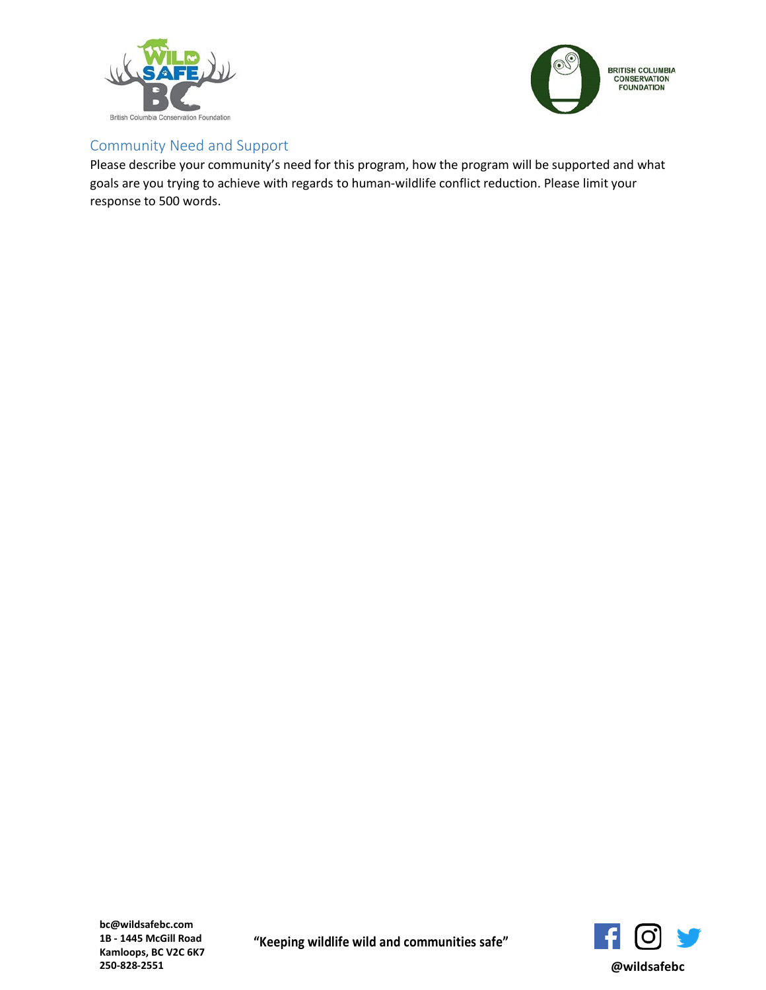



## Community Need and Support

Please describe your community's need for this program, how the program will be supported and what goals are you trying to achieve with regards to human-wildlife conflict reduction. Please limit your response to 500 words.